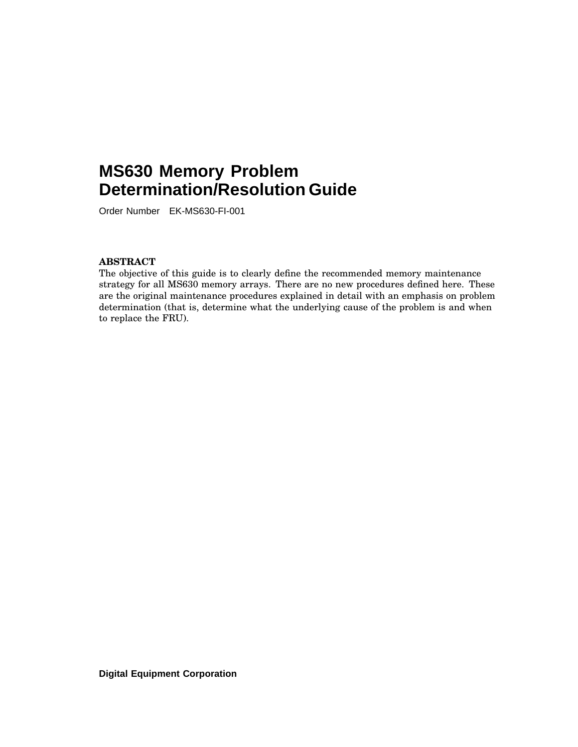# **MS630 Memory Problem Determination/Resolution Guide**

Order Number EK-MS630-FI-001

### **ABSTRACT**

The objective of this guide is to clearly define the recommended memory maintenance strategy for all MS630 memory arrays. There are no new procedures defined here. These are the original maintenance procedures explained in detail with an emphasis on problem determination (that is, determine what the underlying cause of the problem is and when to replace the FRU).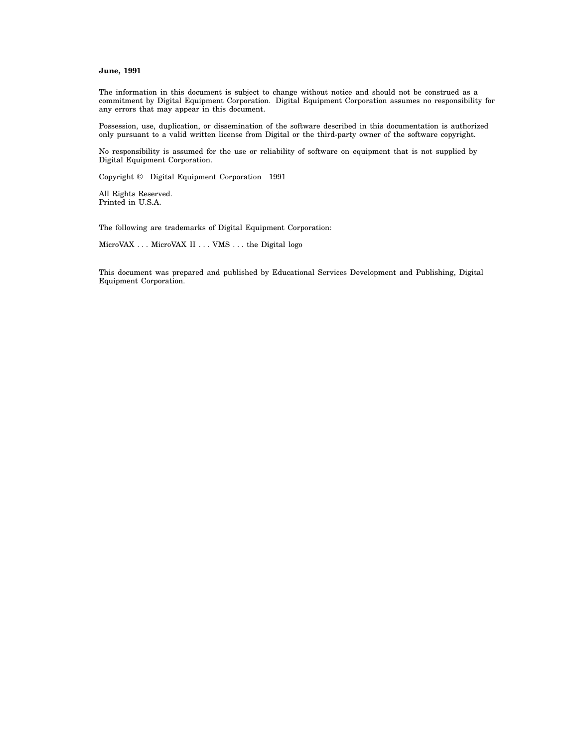#### **June, 1991**

The information in this document is subject to change without notice and should not be construed as a commitment by Digital Equipment Corporation. Digital Equipment Corporation assumes no responsibility for any errors that may appear in this document.

Possession, use, duplication, or dissemination of the software described in this documentation is authorized only pursuant to a valid written license from Digital or the third-party owner of the software copyright.

No responsibility is assumed for the use or reliability of software on equipment that is not supplied by Digital Equipment Corporation.

Copyright © Digital Equipment Corporation 1991

All Rights Reserved. Printed in U.S.A.

The following are trademarks of Digital Equipment Corporation:

MicroVAX . . . MicroVAX II . . . VMS . . . the Digital logo

This document was prepared and published by Educational Services Development and Publishing, Digital Equipment Corporation.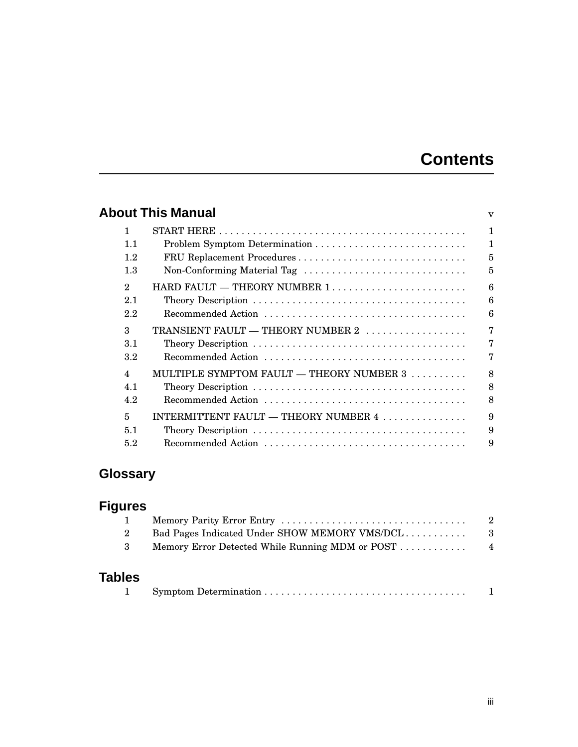# **Contents**

|                         | About This Manual                                          | $\mathbf{V}$   |
|-------------------------|------------------------------------------------------------|----------------|
| 1                       |                                                            | $\mathbf{1}$   |
| 1.1                     |                                                            | $\mathbf{1}$   |
| 1.2                     | FRU Replacement Procedures                                 | $\overline{5}$ |
| 1.3                     | Non-Conforming Material Tag                                | $\overline{5}$ |
| $\mathfrak{D}$          | $HARD$ FAULT $-$ THEORY NUMBER 1                           | 6              |
| 2.1                     |                                                            | 6              |
| 2.2                     |                                                            | 6              |
| $\mathcal{S}$           | TRANSIENT FAULT - THEORY NUMBER 2                          | $\overline{7}$ |
| 3.1                     |                                                            | 7              |
| 3.2                     |                                                            | $\overline{7}$ |
| $\overline{\mathbf{4}}$ | MULTIPLE SYMPTOM FAULT — THEORY NUMBER $3, \ldots, \ldots$ | 8              |
| 4.1                     |                                                            | 8              |
| 4.2                     |                                                            | 8              |
| 5                       | INTERMITTENT FAULT — THEORY NUMBER 4                       | 9              |
| 5.1                     |                                                            | 9              |
| 5.2                     |                                                            | 9              |
|                         |                                                            |                |

# **Glossary**

# **Figures**

## **Tables**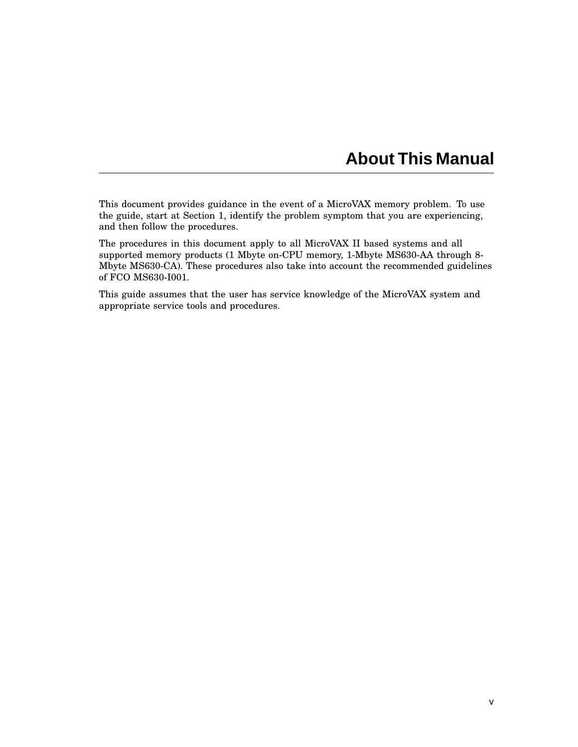# **About This Manual**

This document provides guidance in the event of a MicroVAX memory problem. To use the guide, start at Section 1, identify the problem symptom that you are experiencing, and then follow the procedures.

The procedures in this document apply to all MicroVAX II based systems and all supported memory products (1 Mbyte on-CPU memory, 1-Mbyte MS630-AA through 8- Mbyte MS630-CA). These procedures also take into account the recommended guidelines of FCO MS630-I001.

This guide assumes that the user has service knowledge of the MicroVAX system and appropriate service tools and procedures.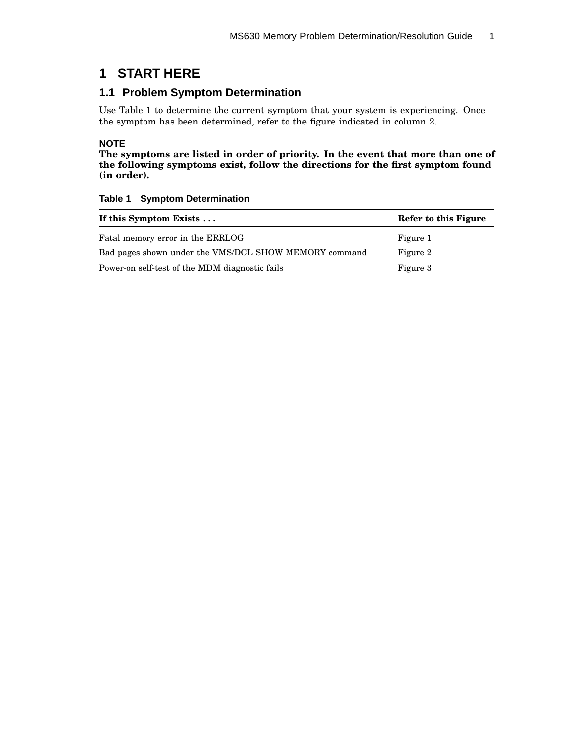## **1 START HERE**

## **1.1 Problem Symptom Determination**

Use Table 1 to determine the current symptom that your system is experiencing. Once the symptom has been determined, refer to the figure indicated in column 2.

### **NOTE**

**The symptoms are listed in order of priority. In the event that more than one of the following symptoms exist, follow the directions for the first symptom found (in order).**

| If this Symptom Exists $\dots$                        | Refer to this Figure |  |  |  |
|-------------------------------------------------------|----------------------|--|--|--|
| Fatal memory error in the ERRLOG                      | Figure 1             |  |  |  |
| Bad pages shown under the VMS/DCL SHOW MEMORY command | Figure 2             |  |  |  |
| Power-on self-test of the MDM diagnostic fails        | Figure 3             |  |  |  |

### **Table 1 Symptom Determination**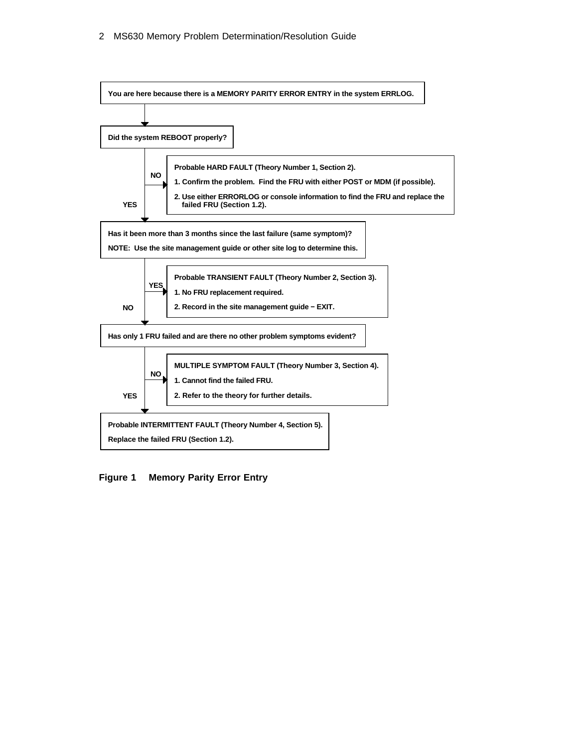

**Figure 1 Memory Parity Error Entry**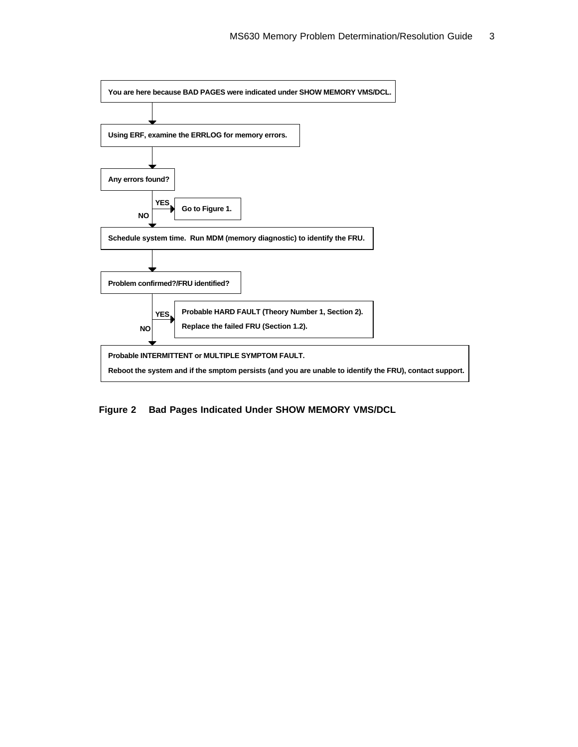

**Figure 2 Bad Pages Indicated Under SHOW MEMORY VMS/DCL**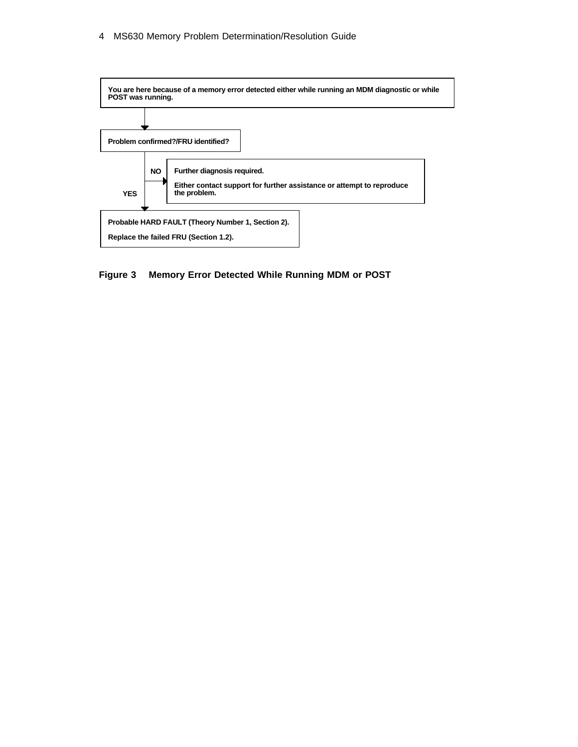

**Figure 3 Memory Error Detected While Running MDM or POST**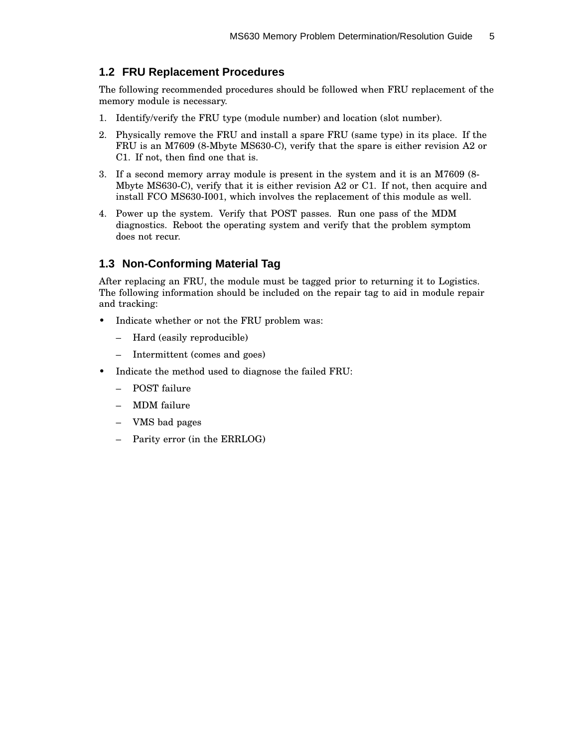## **1.2 FRU Replacement Procedures**

The following recommended procedures should be followed when FRU replacement of the memory module is necessary.

- 1. Identify/verify the FRU type (module number) and location (slot number).
- 2. Physically remove the FRU and install a spare FRU (same type) in its place. If the FRU is an M7609 (8-Mbyte MS630-C), verify that the spare is either revision A2 or C1. If not, then find one that is.
- 3. If a second memory array module is present in the system and it is an M7609 (8- Mbyte MS630-C), verify that it is either revision A2 or C1. If not, then acquire and install FCO MS630-I001, which involves the replacement of this module as well.
- 4. Power up the system. Verify that POST passes. Run one pass of the MDM diagnostics. Reboot the operating system and verify that the problem symptom does not recur.

## **1.3 Non-Conforming Material Tag**

After replacing an FRU, the module must be tagged prior to returning it to Logistics. The following information should be included on the repair tag to aid in module repair and tracking:

- Indicate whether or not the FRU problem was:
	- Hard (easily reproducible)
	- Intermittent (comes and goes)
- Indicate the method used to diagnose the failed FRU:
	- POST failure
	- MDM failure
	- VMS bad pages
	- Parity error (in the ERRLOG)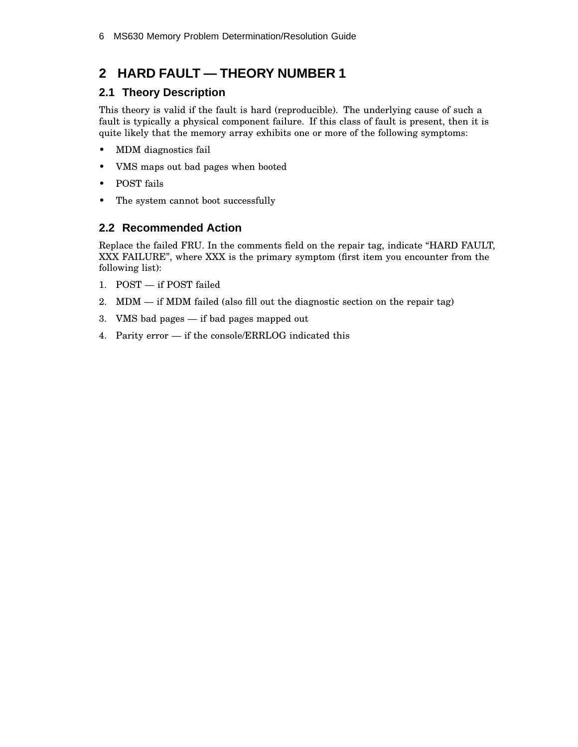## **2 HARD FAULT — THEORY NUMBER 1**

## **2.1 Theory Description**

This theory is valid if the fault is hard (reproducible). The underlying cause of such a fault is typically a physical component failure. If this class of fault is present, then it is quite likely that the memory array exhibits one or more of the following symptoms:

- MDM diagnostics fail
- VMS maps out bad pages when booted
- POST fails
- The system cannot boot successfully

## **2.2 Recommended Action**

Replace the failed FRU. In the comments field on the repair tag, indicate ''HARD FAULT, XXX FAILURE'', where XXX is the primary symptom (first item you encounter from the following list):

- 1. POST if POST failed
- 2. MDM if MDM failed (also fill out the diagnostic section on the repair tag)
- 3. VMS bad pages if bad pages mapped out
- 4. Parity error if the console/ERRLOG indicated this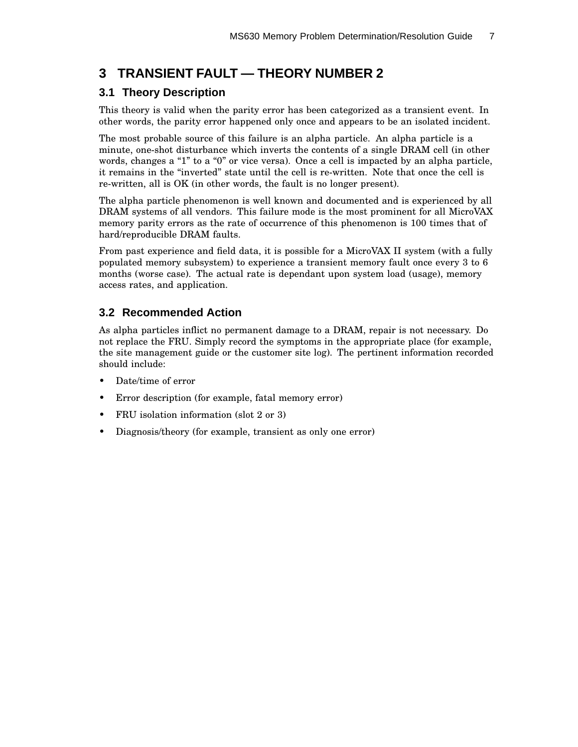## **3 TRANSIENT FAULT — THEORY NUMBER 2**

## **3.1 Theory Description**

This theory is valid when the parity error has been categorized as a transient event. In other words, the parity error happened only once and appears to be an isolated incident.

The most probable source of this failure is an alpha particle. An alpha particle is a minute, one-shot disturbance which inverts the contents of a single DRAM cell (in other words, changes a "1" to a "0" or vice versa). Once a cell is impacted by an alpha particle, it remains in the "inverted" state until the cell is re-written. Note that once the cell is re-written, all is OK (in other words, the fault is no longer present).

The alpha particle phenomenon is well known and documented and is experienced by all DRAM systems of all vendors. This failure mode is the most prominent for all MicroVAX memory parity errors as the rate of occurrence of this phenomenon is 100 times that of hard/reproducible DRAM faults.

From past experience and field data, it is possible for a MicroVAX II system (with a fully populated memory subsystem) to experience a transient memory fault once every 3 to 6 months (worse case). The actual rate is dependant upon system load (usage), memory access rates, and application.

## **3.2 Recommended Action**

As alpha particles inflict no permanent damage to a DRAM, repair is not necessary. Do not replace the FRU. Simply record the symptoms in the appropriate place (for example, the site management guide or the customer site log). The pertinent information recorded should include:

- Date/time of error
- Error description (for example, fatal memory error)
- FRU isolation information (slot 2 or 3)
- Diagnosis/theory (for example, transient as only one error)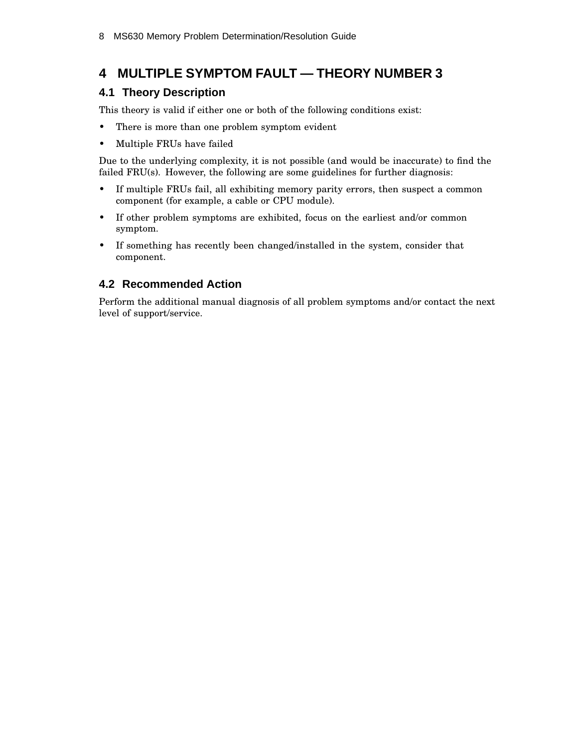## **4 MULTIPLE SYMPTOM FAULT — THEORY NUMBER 3**

## **4.1 Theory Description**

This theory is valid if either one or both of the following conditions exist:

- There is more than one problem symptom evident
- Multiple FRUs have failed

Due to the underlying complexity, it is not possible (and would be inaccurate) to find the failed FRU(s). However, the following are some guidelines for further diagnosis:

- If multiple FRUs fail, all exhibiting memory parity errors, then suspect a common component (for example, a cable or CPU module).
- If other problem symptoms are exhibited, focus on the earliest and/or common symptom.
- If something has recently been changed/installed in the system, consider that component.

## **4.2 Recommended Action**

Perform the additional manual diagnosis of all problem symptoms and/or contact the next level of support/service.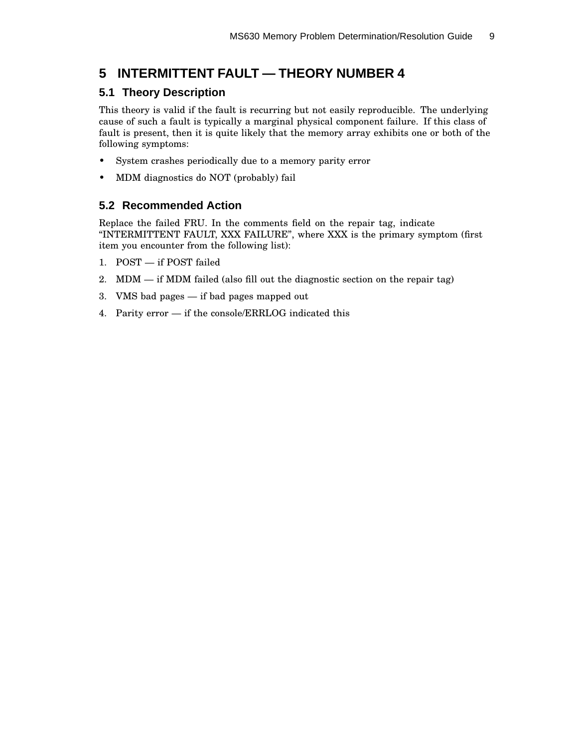## **5 INTERMITTENT FAULT — THEORY NUMBER 4**

## **5.1 Theory Description**

This theory is valid if the fault is recurring but not easily reproducible. The underlying cause of such a fault is typically a marginal physical component failure. If this class of fault is present, then it is quite likely that the memory array exhibits one or both of the following symptoms:

- System crashes periodically due to a memory parity error
- MDM diagnostics do NOT (probably) fail

## **5.2 Recommended Action**

Replace the failed FRU. In the comments field on the repair tag, indicate ''INTERMITTENT FAULT, XXX FAILURE'', where XXX is the primary symptom (first item you encounter from the following list):

- 1. POST if POST failed
- 2. MDM if MDM failed (also fill out the diagnostic section on the repair tag)
- 3. VMS bad pages if bad pages mapped out
- 4. Parity error if the console/ERRLOG indicated this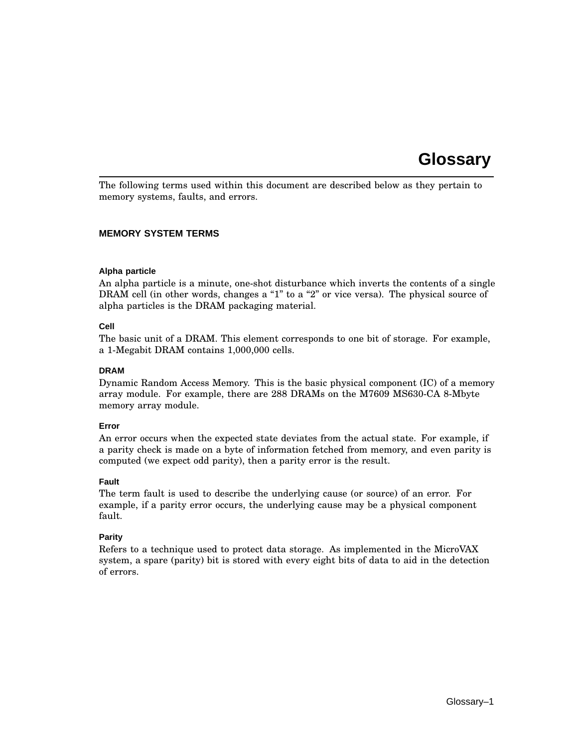## **Glossary**

The following terms used within this document are described below as they pertain to memory systems, faults, and errors.

#### **MEMORY SYSTEM TERMS**

#### **Alpha particle**

An alpha particle is a minute, one-shot disturbance which inverts the contents of a single DRAM cell (in other words, changes a "1" to a "2" or vice versa). The physical source of alpha particles is the DRAM packaging material.

### **Cell**

The basic unit of a DRAM. This element corresponds to one bit of storage. For example, a 1-Megabit DRAM contains 1,000,000 cells.

#### **DRAM**

Dynamic Random Access Memory. This is the basic physical component (IC) of a memory array module. For example, there are 288 DRAMs on the M7609 MS630-CA 8-Mbyte memory array module.

#### **Error**

An error occurs when the expected state deviates from the actual state. For example, if a parity check is made on a byte of information fetched from memory, and even parity is computed (we expect odd parity), then a parity error is the result.

#### **Fault**

The term fault is used to describe the underlying cause (or source) of an error. For example, if a parity error occurs, the underlying cause may be a physical component fault.

### **Parity**

Refers to a technique used to protect data storage. As implemented in the MicroVAX system, a spare (parity) bit is stored with every eight bits of data to aid in the detection of errors.